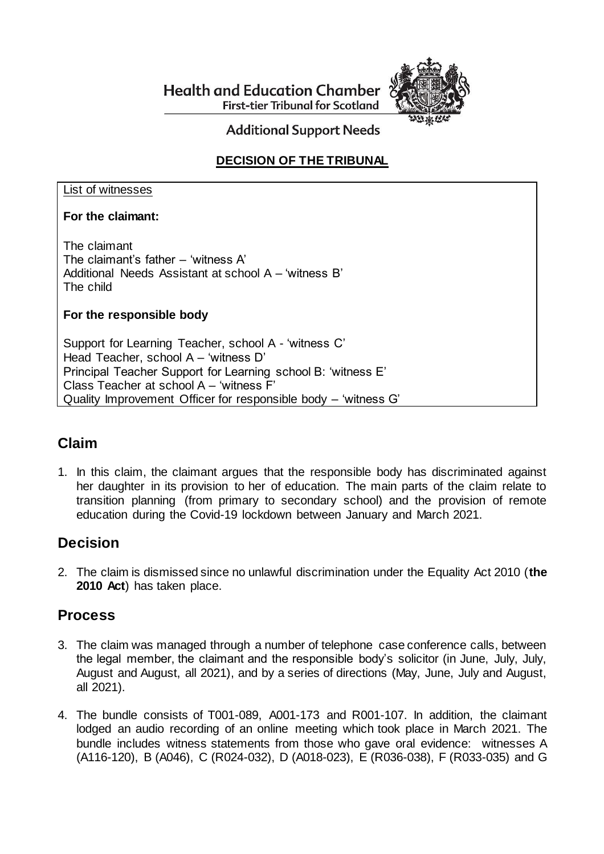**Health and Education Chamber First-tier Tribunal for Scotland** 



**Additional Support Needs** 

# **DECISION OF THE TRIBUNAL**

#### List of witnesses

### **For the claimant:**

The claimant The claimant's father – 'witness A' Additional Needs Assistant at school A – 'witness B' The child

### **For the responsible body**

Support for Learning Teacher, school A - 'witness C' Head Teacher, school A – 'witness D' Principal Teacher Support for Learning school B: 'witness E' Class Teacher at school A – 'witness F' Quality Improvement Officer for responsible body – 'witness G'

# **Claim**

1. In this claim, the claimant argues that the responsible body has discriminated against her daughter in its provision to her of education. The main parts of the claim relate to transition planning (from primary to secondary school) and the provision of remote education during the Covid-19 lockdown between January and March 2021.

# **Decision**

2. The claim is dismissed since no unlawful discrimination under the Equality Act 2010 (**the 2010 Act**) has taken place.

## **Process**

- 3. The claim was managed through a number of telephone case conference calls, between the legal member, the claimant and the responsible body's solicitor (in June, July, July, August and August, all 2021), and by a series of directions (May, June, July and August, all 2021).
- 4. The bundle consists of T001-089, A001-173 and R001-107. In addition, the claimant lodged an audio recording of an online meeting which took place in March 2021. The bundle includes witness statements from those who gave oral evidence: witnesses A (A116-120), B (A046), C (R024-032), D (A018-023), E (R036-038), F (R033-035) and G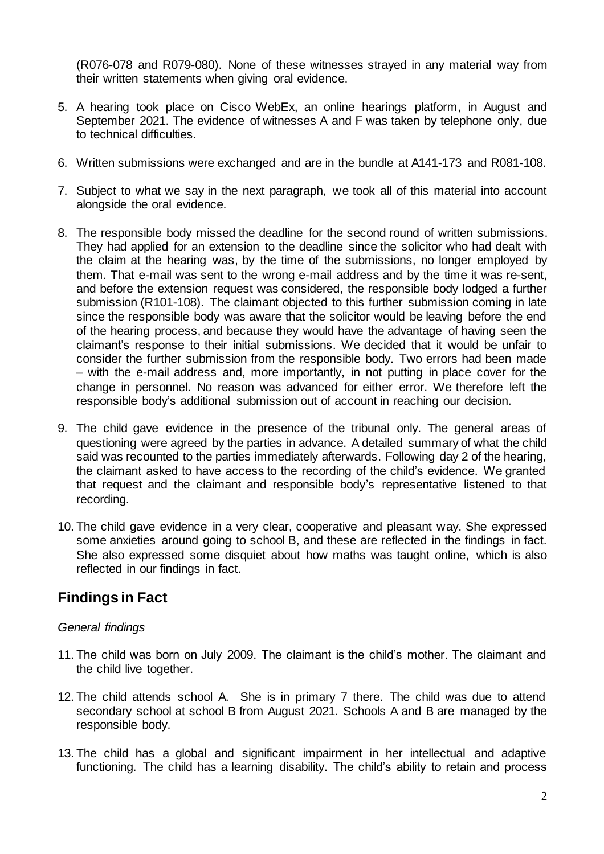(R076-078 and R079-080). None of these witnesses strayed in any material way from their written statements when giving oral evidence.

- 5. A hearing took place on Cisco WebEx, an online hearings platform, in August and September 2021. The evidence of witnesses A and F was taken by telephone only, due to technical difficulties.
- 6. Written submissions were exchanged and are in the bundle at A141-173 and R081-108.
- 7. Subject to what we say in the next paragraph, we took all of this material into account alongside the oral evidence.
- 8. The responsible body missed the deadline for the second round of written submissions. They had applied for an extension to the deadline since the solicitor who had dealt with the claim at the hearing was, by the time of the submissions, no longer employed by them. That e-mail was sent to the wrong e-mail address and by the time it was re-sent, and before the extension request was considered, the responsible body lodged a further submission (R101-108). The claimant objected to this further submission coming in late since the responsible body was aware that the solicitor would be leaving before the end of the hearing process, and because they would have the advantage of having seen the claimant's response to their initial submissions. We decided that it would be unfair to consider the further submission from the responsible body. Two errors had been made – with the e-mail address and, more importantly, in not putting in place cover for the change in personnel. No reason was advanced for either error. We therefore left the responsible body's additional submission out of account in reaching our decision.
- 9. The child gave evidence in the presence of the tribunal only. The general areas of questioning were agreed by the parties in advance. A detailed summary of what the child said was recounted to the parties immediately afterwards. Following day 2 of the hearing, the claimant asked to have access to the recording of the child's evidence. We granted that request and the claimant and responsible body's representative listened to that recording.
- 10. The child gave evidence in a very clear, cooperative and pleasant way. She expressed some anxieties around going to school B, and these are reflected in the findings in fact. She also expressed some disquiet about how maths was taught online, which is also reflected in our findings in fact.

# **Findings in Fact**

### *General findings*

- 11. The child was born on July 2009. The claimant is the child's mother. The claimant and the child live together.
- 12. The child attends school A. She is in primary 7 there. The child was due to attend secondary school at school B from August 2021. Schools A and B are managed by the responsible body.
- 13. The child has a global and significant impairment in her intellectual and adaptive functioning. The child has a learning disability. The child's ability to retain and process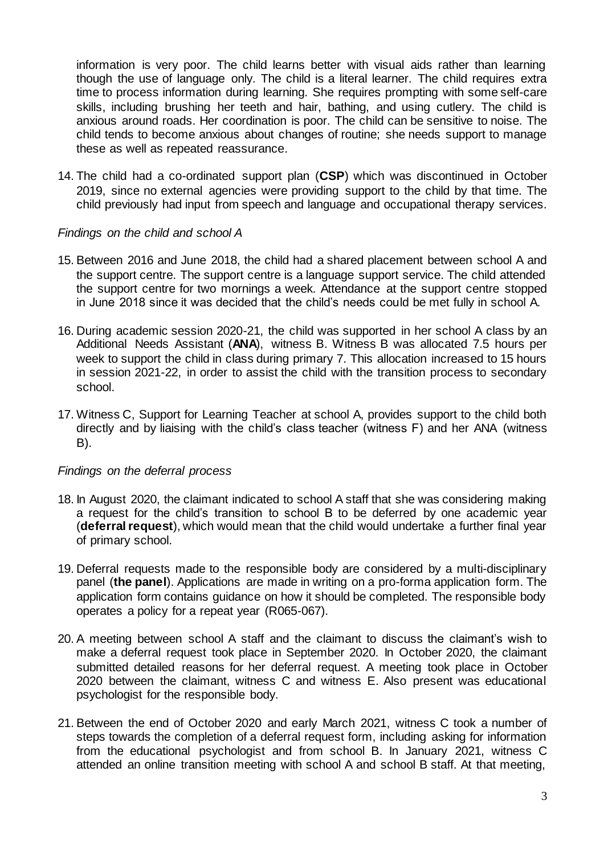information is very poor. The child learns better with visual aids rather than learning though the use of language only. The child is a literal learner. The child requires extra time to process information during learning. She requires prompting with some self-care skills, including brushing her teeth and hair, bathing, and using cutlery. The child is anxious around roads. Her coordination is poor. The child can be sensitive to noise. The child tends to become anxious about changes of routine; she needs support to manage these as well as repeated reassurance.

14. The child had a co-ordinated support plan (**CSP**) which was discontinued in October 2019, since no external agencies were providing support to the child by that time. The child previously had input from speech and language and occupational therapy services.

#### *Findings on the child and school A*

- 15. Between 2016 and June 2018, the child had a shared placement between school A and the support centre. The support centre is a language support service. The child attended the support centre for two mornings a week. Attendance at the support centre stopped in June 2018 since it was decided that the child's needs could be met fully in school A.
- 16. During academic session 2020-21, the child was supported in her school A class by an Additional Needs Assistant (**ANA**), witness B. Witness B was allocated 7.5 hours per week to support the child in class during primary 7. This allocation increased to 15 hours in session 2021-22, in order to assist the child with the transition process to secondary school.
- 17. Witness C, Support for Learning Teacher at school A, provides support to the child both directly and by liaising with the child's class teacher (witness F) and her ANA (witness B).

#### *Findings on the deferral process*

- 18. In August 2020, the claimant indicated to school A staff that she was considering making a request for the child's transition to school B to be deferred by one academic year (**deferral request**), which would mean that the child would undertake a further final year of primary school.
- 19. Deferral requests made to the responsible body are considered by a multi-disciplinary panel (**the panel**). Applications are made in writing on a pro-forma application form. The application form contains guidance on how it should be completed. The responsible body operates a policy for a repeat year (R065-067).
- 20. A meeting between school A staff and the claimant to discuss the claimant's wish to make a deferral request took place in September 2020. In October 2020, the claimant submitted detailed reasons for her deferral request. A meeting took place in October 2020 between the claimant, witness C and witness E. Also present was educational psychologist for the responsible body.
- 21. Between the end of October 2020 and early March 2021, witness C took a number of steps towards the completion of a deferral request form, including asking for information from the educational psychologist and from school B. In January 2021, witness C attended an online transition meeting with school A and school B staff. At that meeting,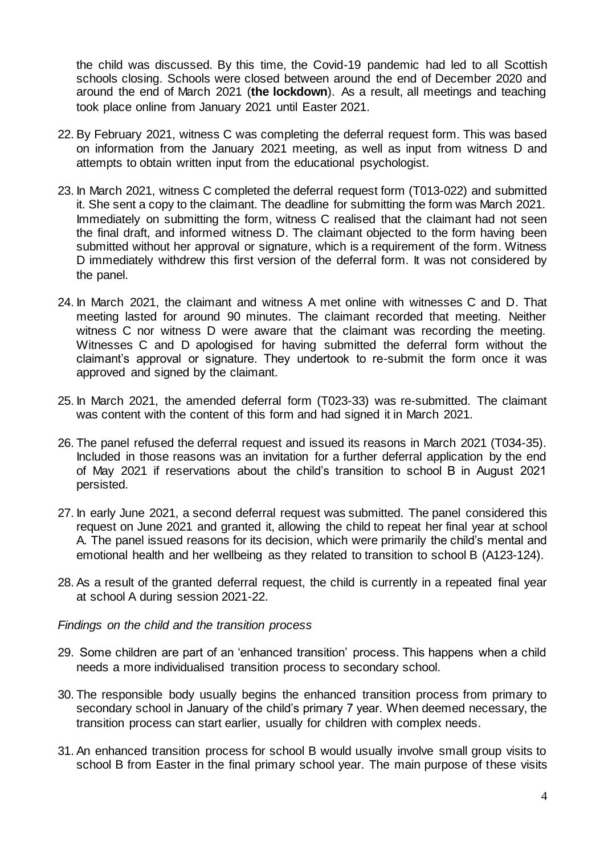the child was discussed. By this time, the Covid-19 pandemic had led to all Scottish schools closing. Schools were closed between around the end of December 2020 and around the end of March 2021 (**the lockdown**). As a result, all meetings and teaching took place online from January 2021 until Easter 2021.

- 22. By February 2021, witness C was completing the deferral request form. This was based on information from the January 2021 meeting, as well as input from witness D and attempts to obtain written input from the educational psychologist.
- 23. In March 2021, witness C completed the deferral request form (T013-022) and submitted it. She sent a copy to the claimant. The deadline for submitting the form was March 2021. Immediately on submitting the form, witness C realised that the claimant had not seen the final draft, and informed witness D. The claimant objected to the form having been submitted without her approval or signature, which is a requirement of the form. Witness D immediately withdrew this first version of the deferral form. It was not considered by the panel.
- 24. In March 2021, the claimant and witness A met online with witnesses C and D. That meeting lasted for around 90 minutes. The claimant recorded that meeting. Neither witness C nor witness D were aware that the claimant was recording the meeting. Witnesses C and D apologised for having submitted the deferral form without the claimant's approval or signature. They undertook to re-submit the form once it was approved and signed by the claimant.
- 25. In March 2021, the amended deferral form (T023-33) was re-submitted. The claimant was content with the content of this form and had signed it in March 2021.
- 26. The panel refused the deferral request and issued its reasons in March 2021 (T034-35). Included in those reasons was an invitation for a further deferral application by the end of May 2021 if reservations about the child's transition to school B in August 2021 persisted.
- 27. In early June 2021, a second deferral request was submitted. The panel considered this request on June 2021 and granted it, allowing the child to repeat her final year at school A. The panel issued reasons for its decision, which were primarily the child's mental and emotional health and her wellbeing as they related to transition to school B (A123-124).
- 28. As a result of the granted deferral request, the child is currently in a repeated final year at school A during session 2021-22.

*Findings on the child and the transition process*

- 29. Some children are part of an 'enhanced transition' process. This happens when a child needs a more individualised transition process to secondary school.
- 30. The responsible body usually begins the enhanced transition process from primary to secondary school in January of the child's primary 7 year. When deemed necessary, the transition process can start earlier, usually for children with complex needs.
- 31. An enhanced transition process for school B would usually involve small group visits to school B from Easter in the final primary school year. The main purpose of these visits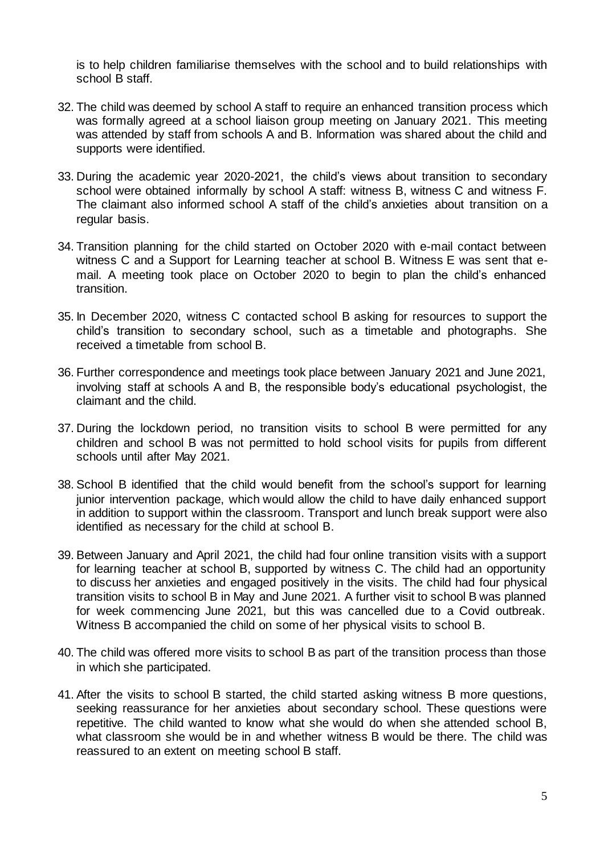is to help children familiarise themselves with the school and to build relationships with school B staff.

- 32. The child was deemed by school A staff to require an enhanced transition process which was formally agreed at a school liaison group meeting on January 2021. This meeting was attended by staff from schools A and B. Information was shared about the child and supports were identified.
- 33. During the academic year 2020-2021, the child's views about transition to secondary school were obtained informally by school A staff: witness B, witness C and witness F. The claimant also informed school A staff of the child's anxieties about transition on a regular basis.
- 34. Transition planning for the child started on October 2020 with e-mail contact between witness C and a Support for Learning teacher at school B. Witness E was sent that email. A meeting took place on October 2020 to begin to plan the child's enhanced transition.
- 35. In December 2020, witness C contacted school B asking for resources to support the child's transition to secondary school, such as a timetable and photographs. She received a timetable from school B.
- 36. Further correspondence and meetings took place between January 2021 and June 2021, involving staff at schools A and B, the responsible body's educational psychologist, the claimant and the child.
- 37. During the lockdown period, no transition visits to school B were permitted for any children and school B was not permitted to hold school visits for pupils from different schools until after May 2021.
- 38. School B identified that the child would benefit from the school's support for learning junior intervention package, which would allow the child to have daily enhanced support in addition to support within the classroom. Transport and lunch break support were also identified as necessary for the child at school B.
- 39. Between January and April 2021, the child had four online transition visits with a support for learning teacher at school B, supported by witness C. The child had an opportunity to discuss her anxieties and engaged positively in the visits. The child had four physical transition visits to school B in May and June 2021. A further visit to school B was planned for week commencing June 2021, but this was cancelled due to a Covid outbreak. Witness B accompanied the child on some of her physical visits to school B.
- 40. The child was offered more visits to school B as part of the transition process than those in which she participated.
- 41. After the visits to school B started, the child started asking witness B more questions, seeking reassurance for her anxieties about secondary school. These questions were repetitive. The child wanted to know what she would do when she attended school B, what classroom she would be in and whether witness B would be there. The child was reassured to an extent on meeting school B staff.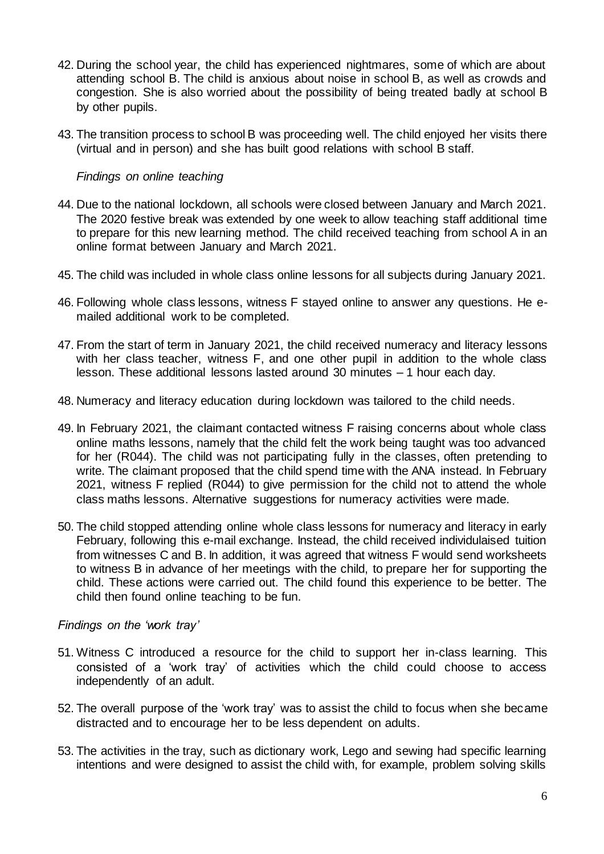- 42. During the school year, the child has experienced nightmares, some of which are about attending school B. The child is anxious about noise in school B, as well as crowds and congestion. She is also worried about the possibility of being treated badly at school B by other pupils.
- 43. The transition process to school B was proceeding well. The child enjoyed her visits there (virtual and in person) and she has built good relations with school B staff.

#### *Findings on online teaching*

- 44. Due to the national lockdown, all schools were closed between January and March 2021. The 2020 festive break was extended by one week to allow teaching staff additional time to prepare for this new learning method. The child received teaching from school A in an online format between January and March 2021.
- 45. The child was included in whole class online lessons for all subjects during January 2021.
- 46. Following whole class lessons, witness F stayed online to answer any questions. He emailed additional work to be completed.
- 47. From the start of term in January 2021, the child received numeracy and literacy lessons with her class teacher, witness F, and one other pupil in addition to the whole class lesson. These additional lessons lasted around 30 minutes – 1 hour each day.
- 48. Numeracy and literacy education during lockdown was tailored to the child needs.
- 49. In February 2021, the claimant contacted witness F raising concerns about whole class online maths lessons, namely that the child felt the work being taught was too advanced for her (R044). The child was not participating fully in the classes, often pretending to write. The claimant proposed that the child spend time with the ANA instead. In February 2021, witness F replied (R044) to give permission for the child not to attend the whole class maths lessons. Alternative suggestions for numeracy activities were made.
- 50. The child stopped attending online whole class lessons for numeracy and literacy in early February, following this e-mail exchange. Instead, the child received individulaised tuition from witnesses C and B. In addition, it was agreed that witness F would send worksheets to witness B in advance of her meetings with the child, to prepare her for supporting the child. These actions were carried out. The child found this experience to be better. The child then found online teaching to be fun.

#### *Findings on the 'work tray'*

- 51. Witness C introduced a resource for the child to support her in-class learning. This consisted of a 'work tray' of activities which the child could choose to access independently of an adult.
- 52. The overall purpose of the 'work tray' was to assist the child to focus when she became distracted and to encourage her to be less dependent on adults.
- 53. The activities in the tray, such as dictionary work, Lego and sewing had specific learning intentions and were designed to assist the child with, for example, problem solving skills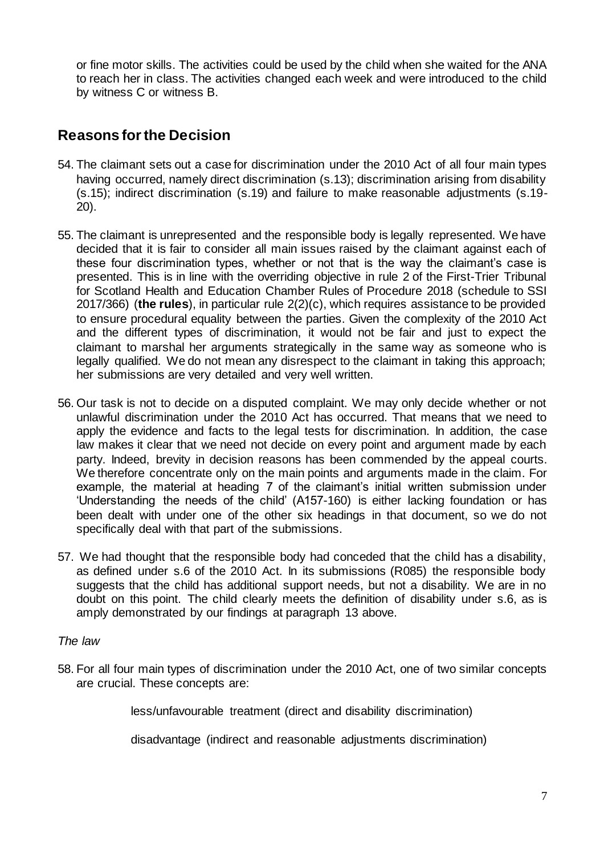or fine motor skills. The activities could be used by the child when she waited for the ANA to reach her in class. The activities changed each week and were introduced to the child by witness C or witness B.

# **Reasons for the Decision**

- 54. The claimant sets out a case for discrimination under the 2010 Act of all four main types having occurred, namely direct discrimination (s.13); discrimination arising from disability (s.15); indirect discrimination (s.19) and failure to make reasonable adjustments (s.19- 20).
- 55. The claimant is unrepresented and the responsible body is legally represented. We have decided that it is fair to consider all main issues raised by the claimant against each of these four discrimination types, whether or not that is the way the claimant's case is presented. This is in line with the overriding objective in rule 2 of the First-Trier Tribunal for Scotland Health and Education Chamber Rules of Procedure 2018 (schedule to SSI 2017/366) (**the rules**), in particular rule 2(2)(c), which requires assistance to be provided to ensure procedural equality between the parties. Given the complexity of the 2010 Act and the different types of discrimination, it would not be fair and just to expect the claimant to marshal her arguments strategically in the same way as someone who is legally qualified. We do not mean any disrespect to the claimant in taking this approach; her submissions are very detailed and very well written.
- 56. Our task is not to decide on a disputed complaint. We may only decide whether or not unlawful discrimination under the 2010 Act has occurred. That means that we need to apply the evidence and facts to the legal tests for discrimination. In addition, the case law makes it clear that we need not decide on every point and argument made by each party. Indeed, brevity in decision reasons has been commended by the appeal courts. We therefore concentrate only on the main points and arguments made in the claim. For example, the material at heading 7 of the claimant's initial written submission under 'Understanding the needs of the child' (A157-160) is either lacking foundation or has been dealt with under one of the other six headings in that document, so we do not specifically deal with that part of the submissions.
- 57. We had thought that the responsible body had conceded that the child has a disability, as defined under s.6 of the 2010 Act. In its submissions (R085) the responsible body suggests that the child has additional support needs, but not a disability. We are in no doubt on this point. The child clearly meets the definition of disability under s.6, as is amply demonstrated by our findings at paragraph 13 above.

#### *The law*

58. For all four main types of discrimination under the 2010 Act, one of two similar concepts are crucial. These concepts are:

less/unfavourable treatment (direct and disability discrimination)

disadvantage (indirect and reasonable adjustments discrimination)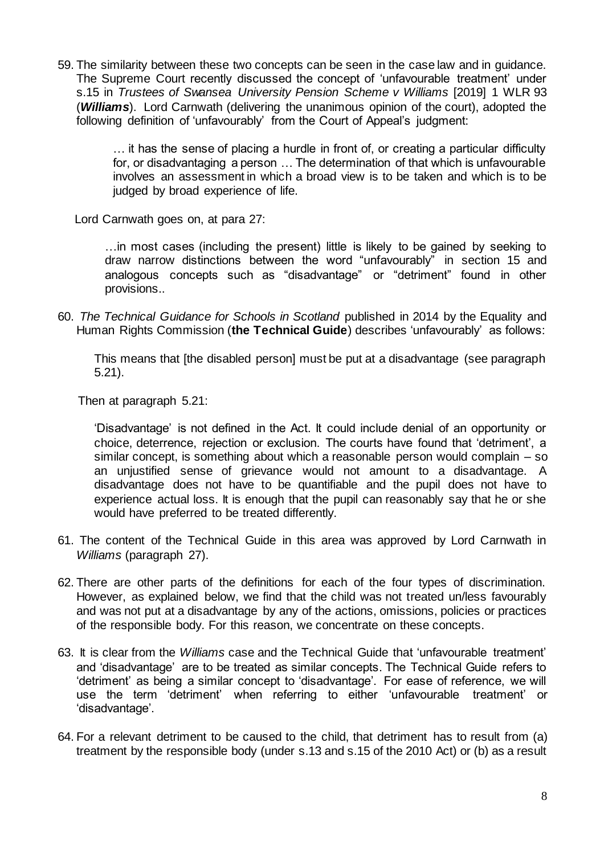59. The similarity between these two concepts can be seen in the case law and in guidance. The Supreme Court recently discussed the concept of 'unfavourable treatment' under s.15 in *Trustees of Swansea University Pension Scheme v Williams* [2019] 1 WLR 93 (*Williams*). Lord Carnwath (delivering the unanimous opinion of the court), adopted the following definition of 'unfavourably' from the Court of Appeal's judgment:

> … it has the sense of placing a hurdle in front of, or creating a particular difficulty for, or disadvantaging a person … The determination of that which is unfavourable involves an assessment in which a broad view is to be taken and which is to be judged by broad experience of life.

Lord Carnwath goes on, at para 27:

…in most cases (including the present) little is likely to be gained by seeking to draw narrow distinctions between the word "unfavourably" in section 15 and analogous concepts such as "disadvantage" or "detriment" found in other provisions..

60. *The Technical Guidance for Schools in Scotland* published in 2014 by the Equality and Human Rights Commission (**the Technical Guide**) describes 'unfavourably' as follows:

This means that [the disabled person] must be put at a disadvantage (see paragraph 5.21).

Then at paragraph 5.21:

'Disadvantage' is not defined in the Act. It could include denial of an opportunity or choice, deterrence, rejection or exclusion. The courts have found that 'detriment', a similar concept, is something about which a reasonable person would complain – so an unjustified sense of grievance would not amount to a disadvantage. A disadvantage does not have to be quantifiable and the pupil does not have to experience actual loss. It is enough that the pupil can reasonably say that he or she would have preferred to be treated differently.

- 61. The content of the Technical Guide in this area was approved by Lord Carnwath in *Williams* (paragraph 27).
- 62. There are other parts of the definitions for each of the four types of discrimination. However, as explained below, we find that the child was not treated un/less favourably and was not put at a disadvantage by any of the actions, omissions, policies or practices of the responsible body. For this reason, we concentrate on these concepts.
- 63. It is clear from the *Williams* case and the Technical Guide that 'unfavourable treatment' and 'disadvantage' are to be treated as similar concepts. The Technical Guide refers to 'detriment' as being a similar concept to 'disadvantage'. For ease of reference, we will use the term 'detriment' when referring to either 'unfavourable treatment' or 'disadvantage'.
- 64. For a relevant detriment to be caused to the child, that detriment has to result from (a) treatment by the responsible body (under s.13 and s.15 of the 2010 Act) or (b) as a result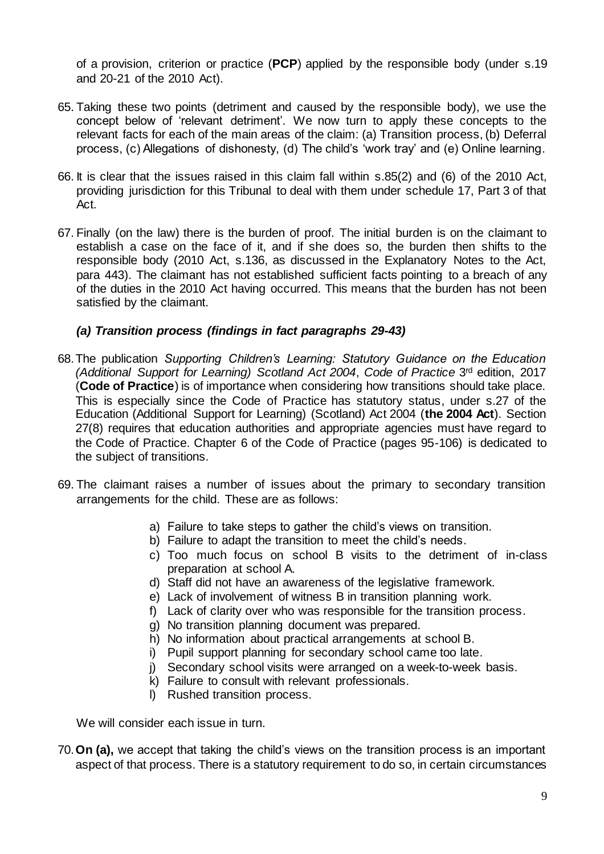of a provision, criterion or practice (**PCP**) applied by the responsible body (under s.19 and 20-21 of the 2010 Act).

- 65. Taking these two points (detriment and caused by the responsible body), we use the concept below of 'relevant detriment'. We now turn to apply these concepts to the relevant facts for each of the main areas of the claim: (a) Transition process, (b) Deferral process, (c) Allegations of dishonesty, (d) The child's 'work tray' and (e) Online learning.
- 66. It is clear that the issues raised in this claim fall within s.85(2) and (6) of the 2010 Act, providing jurisdiction for this Tribunal to deal with them under schedule 17, Part 3 of that Act.
- 67. Finally (on the law) there is the burden of proof. The initial burden is on the claimant to establish a case on the face of it, and if she does so, the burden then shifts to the responsible body (2010 Act, s.136, as discussed in the Explanatory Notes to the Act, para 443). The claimant has not established sufficient facts pointing to a breach of any of the duties in the 2010 Act having occurred. This means that the burden has not been satisfied by the claimant.

#### *(a) Transition process (findings in fact paragraphs 29-43)*

- 68.The publication *Supporting Children's Learning: Statutory Guidance on the Education (Additional Support for Learning) Scotland Act 2004*, *Code of Practice* 3rd edition, 2017 (**Code of Practice**) is of importance when considering how transitions should take place. This is especially since the Code of Practice has statutory status, under s.27 of the Education (Additional Support for Learning) (Scotland) Act 2004 (**the 2004 Act**). Section 27(8) requires that education authorities and appropriate agencies must have regard to the Code of Practice. Chapter 6 of the Code of Practice (pages 95-106) is dedicated to the subject of transitions.
- 69. The claimant raises a number of issues about the primary to secondary transition arrangements for the child. These are as follows:
	- a) Failure to take steps to gather the child's views on transition.
	- b) Failure to adapt the transition to meet the child's needs.
	- c) Too much focus on school B visits to the detriment of in-class preparation at school A.
	- d) Staff did not have an awareness of the legislative framework.
	- e) Lack of involvement of witness B in transition planning work.
	- f) Lack of clarity over who was responsible for the transition process.
	- g) No transition planning document was prepared.
	- h) No information about practical arrangements at school B.
	- i) Pupil support planning for secondary school came too late.
	- j) Secondary school visits were arranged on a week-to-week basis.
	- k) Failure to consult with relevant professionals.
	- l) Rushed transition process.

We will consider each issue in turn.

70.**On (a),** we accept that taking the child's views on the transition process is an important aspect of that process. There is a statutory requirement to do so, in certain circumstances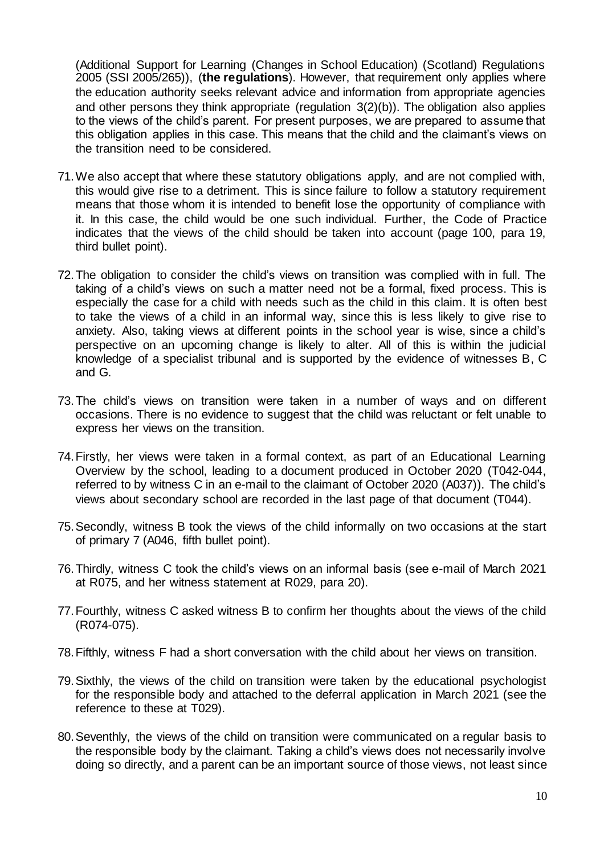(Additional Support for Learning (Changes in School Education) (Scotland) Regulations 2005 (SSI 2005/265)), (**the regulations**). However, that requirement only applies where the education authority seeks relevant advice and information from appropriate agencies and other persons they think appropriate (regulation 3(2)(b)). The obligation also applies to the views of the child's parent. For present purposes, we are prepared to assume that this obligation applies in this case. This means that the child and the claimant's views on the transition need to be considered.

- 71.We also accept that where these statutory obligations apply, and are not complied with, this would give rise to a detriment. This is since failure to follow a statutory requirement means that those whom it is intended to benefit lose the opportunity of compliance with it. In this case, the child would be one such individual. Further, the Code of Practice indicates that the views of the child should be taken into account (page 100, para 19, third bullet point).
- 72.The obligation to consider the child's views on transition was complied with in full. The taking of a child's views on such a matter need not be a formal, fixed process. This is especially the case for a child with needs such as the child in this claim. It is often best to take the views of a child in an informal way, since this is less likely to give rise to anxiety. Also, taking views at different points in the school year is wise, since a child's perspective on an upcoming change is likely to alter. All of this is within the judicial knowledge of a specialist tribunal and is supported by the evidence of witnesses B, C and G.
- 73.The child's views on transition were taken in a number of ways and on different occasions. There is no evidence to suggest that the child was reluctant or felt unable to express her views on the transition.
- 74.Firstly, her views were taken in a formal context, as part of an Educational Learning Overview by the school, leading to a document produced in October 2020 (T042-044, referred to by witness C in an e-mail to the claimant of October 2020 (A037)). The child's views about secondary school are recorded in the last page of that document (T044).
- 75.Secondly, witness B took the views of the child informally on two occasions at the start of primary 7 (A046, fifth bullet point).
- 76.Thirdly, witness C took the child's views on an informal basis (see e-mail of March 2021 at R075, and her witness statement at R029, para 20).
- 77.Fourthly, witness C asked witness B to confirm her thoughts about the views of the child (R074-075).
- 78.Fifthly, witness F had a short conversation with the child about her views on transition.
- 79.Sixthly, the views of the child on transition were taken by the educational psychologist for the responsible body and attached to the deferral application in March 2021 (see the reference to these at T029).
- 80.Seventhly, the views of the child on transition were communicated on a regular basis to the responsible body by the claimant. Taking a child's views does not necessarily involve doing so directly, and a parent can be an important source of those views, not least since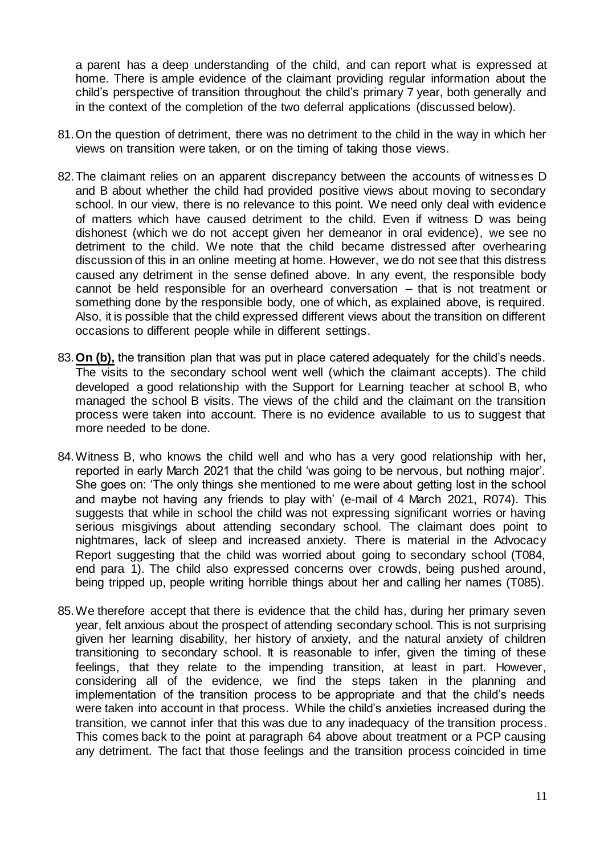a parent has a deep understanding of the child, and can report what is expressed at home. There is ample evidence of the claimant providing regular information about the child's perspective of transition throughout the child's primary 7 year, both generally and in the context of the completion of the two deferral applications (discussed below).

- 81.On the question of detriment, there was no detriment to the child in the way in which her views on transition were taken, or on the timing of taking those views.
- 82.The claimant relies on an apparent discrepancy between the accounts of witnesses D and B about whether the child had provided positive views about moving to secondary school. In our view, there is no relevance to this point. We need only deal with evidence of matters which have caused detriment to the child. Even if witness D was being dishonest (which we do not accept given her demeanor in oral evidence), we see no detriment to the child. We note that the child became distressed after overhearing discussion of this in an online meeting at home. However, we do not see that this distress caused any detriment in the sense defined above. In any event, the responsible body cannot be held responsible for an overheard conversation – that is not treatment or something done by the responsible body, one of which, as explained above, is required. Also, it is possible that the child expressed different views about the transition on different occasions to different people while in different settings.
- 83.**On (b),** the transition plan that was put in place catered adequately for the child's needs. The visits to the secondary school went well (which the claimant accepts). The child developed a good relationship with the Support for Learning teacher at school B, who managed the school B visits. The views of the child and the claimant on the transition process were taken into account. There is no evidence available to us to suggest that more needed to be done.
- 84.Witness B, who knows the child well and who has a very good relationship with her, reported in early March 2021 that the child 'was going to be nervous, but nothing major'. She goes on: 'The only things she mentioned to me were about getting lost in the school and maybe not having any friends to play with' (e-mail of 4 March 2021, R074). This suggests that while in school the child was not expressing significant worries or having serious misgivings about attending secondary school. The claimant does point to nightmares, lack of sleep and increased anxiety. There is material in the Advocacy Report suggesting that the child was worried about going to secondary school (T084, end para 1). The child also expressed concerns over crowds, being pushed around, being tripped up, people writing horrible things about her and calling her names (T085).
- 85.We therefore accept that there is evidence that the child has, during her primary seven year, felt anxious about the prospect of attending secondary school. This is not surprising given her learning disability, her history of anxiety, and the natural anxiety of children transitioning to secondary school. It is reasonable to infer, given the timing of these feelings, that they relate to the impending transition, at least in part. However, considering all of the evidence, we find the steps taken in the planning and implementation of the transition process to be appropriate and that the child's needs were taken into account in that process. While the child's anxieties increased during the transition, we cannot infer that this was due to any inadequacy of the transition process. This comes back to the point at paragraph 64 above about treatment or a PCP causing any detriment. The fact that those feelings and the transition process coincided in time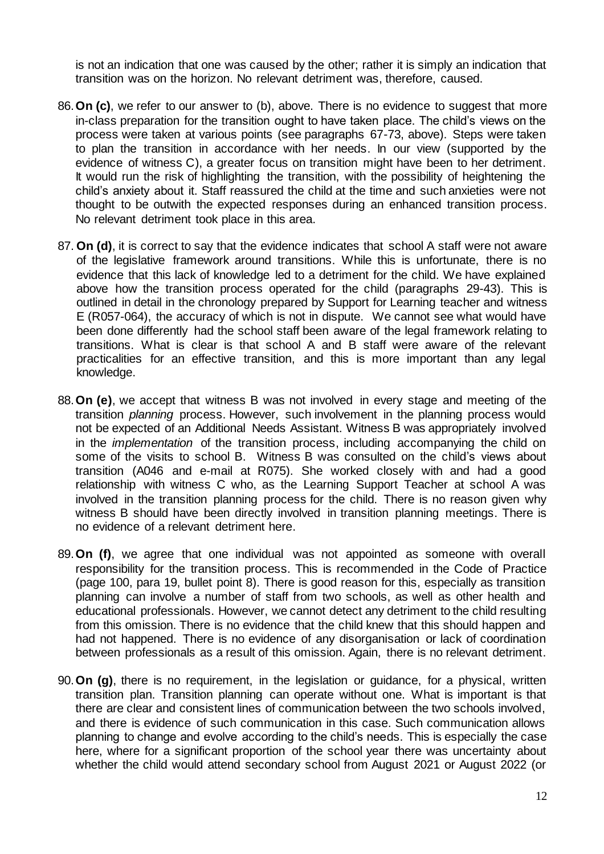is not an indication that one was caused by the other; rather it is simply an indication that transition was on the horizon. No relevant detriment was, therefore, caused.

- 86.**On (c)**, we refer to our answer to (b), above. There is no evidence to suggest that more in-class preparation for the transition ought to have taken place. The child's views on the process were taken at various points (see paragraphs 67-73, above). Steps were taken to plan the transition in accordance with her needs. In our view (supported by the evidence of witness C), a greater focus on transition might have been to her detriment. It would run the risk of highlighting the transition, with the possibility of heightening the child's anxiety about it. Staff reassured the child at the time and such anxieties were not thought to be outwith the expected responses during an enhanced transition process. No relevant detriment took place in this area.
- 87. **On (d)**, it is correct to say that the evidence indicates that school A staff were not aware of the legislative framework around transitions. While this is unfortunate, there is no evidence that this lack of knowledge led to a detriment for the child. We have explained above how the transition process operated for the child (paragraphs 29-43). This is outlined in detail in the chronology prepared by Support for Learning teacher and witness E (R057-064), the accuracy of which is not in dispute. We cannot see what would have been done differently had the school staff been aware of the legal framework relating to transitions. What is clear is that school A and B staff were aware of the relevant practicalities for an effective transition, and this is more important than any legal knowledge.
- 88.**On (e)**, we accept that witness B was not involved in every stage and meeting of the transition *planning* process. However, such involvement in the planning process would not be expected of an Additional Needs Assistant. Witness B was appropriately involved in the *implementation* of the transition process, including accompanying the child on some of the visits to school B. Witness B was consulted on the child's views about transition (A046 and e-mail at R075). She worked closely with and had a good relationship with witness C who, as the Learning Support Teacher at school A was involved in the transition planning process for the child. There is no reason given why witness B should have been directly involved in transition planning meetings. There is no evidence of a relevant detriment here.
- 89.**On (f)**, we agree that one individual was not appointed as someone with overall responsibility for the transition process. This is recommended in the Code of Practice (page 100, para 19, bullet point 8). There is good reason for this, especially as transition planning can involve a number of staff from two schools, as well as other health and educational professionals. However, we cannot detect any detriment to the child resulting from this omission. There is no evidence that the child knew that this should happen and had not happened. There is no evidence of any disorganisation or lack of coordination between professionals as a result of this omission. Again, there is no relevant detriment.
- 90.**On (g)**, there is no requirement, in the legislation or guidance, for a physical, written transition plan. Transition planning can operate without one. What is important is that there are clear and consistent lines of communication between the two schools involved, and there is evidence of such communication in this case. Such communication allows planning to change and evolve according to the child's needs. This is especially the case here, where for a significant proportion of the school year there was uncertainty about whether the child would attend secondary school from August 2021 or August 2022 (or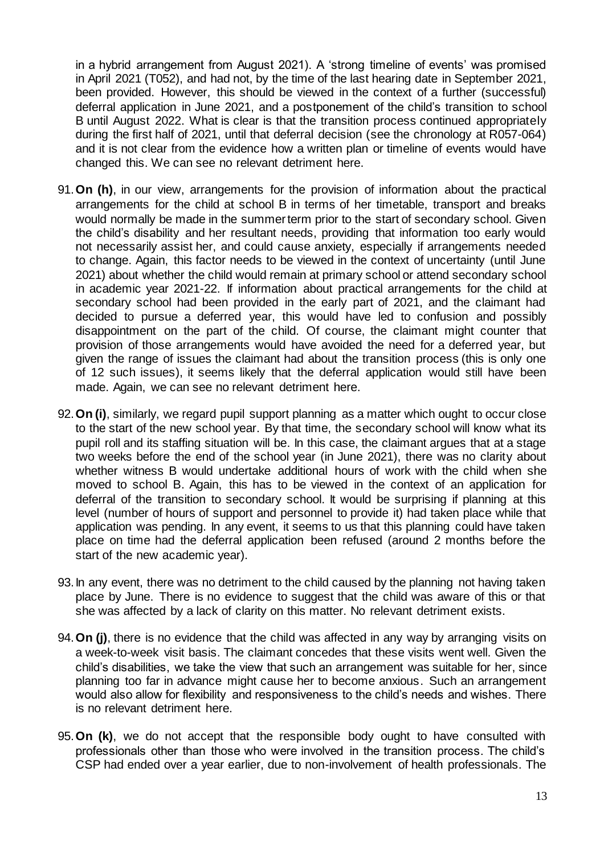in a hybrid arrangement from August 2021). A 'strong timeline of events' was promised in April 2021 (T052), and had not, by the time of the last hearing date in September 2021, been provided. However, this should be viewed in the context of a further (successful) deferral application in June 2021, and a postponement of the child's transition to school B until August 2022. What is clear is that the transition process continued appropriately during the first half of 2021, until that deferral decision (see the chronology at R057-064) and it is not clear from the evidence how a written plan or timeline of events would have changed this. We can see no relevant detriment here.

- 91.**On (h)**, in our view, arrangements for the provision of information about the practical arrangements for the child at school B in terms of her timetable, transport and breaks would normally be made in the summer term prior to the start of secondary school. Given the child's disability and her resultant needs, providing that information too early would not necessarily assist her, and could cause anxiety, especially if arrangements needed to change. Again, this factor needs to be viewed in the context of uncertainty (until June 2021) about whether the child would remain at primary school or attend secondary school in academic year 2021-22. If information about practical arrangements for the child at secondary school had been provided in the early part of 2021, and the claimant had decided to pursue a deferred year, this would have led to confusion and possibly disappointment on the part of the child. Of course, the claimant might counter that provision of those arrangements would have avoided the need for a deferred year, but given the range of issues the claimant had about the transition process (this is only one of 12 such issues), it seems likely that the deferral application would still have been made. Again, we can see no relevant detriment here.
- 92.**On (i)**, similarly, we regard pupil support planning as a matter which ought to occur close to the start of the new school year. By that time, the secondary school will know what its pupil roll and its staffing situation will be. In this case, the claimant argues that at a stage two weeks before the end of the school year (in June 2021), there was no clarity about whether witness B would undertake additional hours of work with the child when she moved to school B. Again, this has to be viewed in the context of an application for deferral of the transition to secondary school. It would be surprising if planning at this level (number of hours of support and personnel to provide it) had taken place while that application was pending. In any event, it seems to us that this planning could have taken place on time had the deferral application been refused (around 2 months before the start of the new academic year).
- 93.In any event, there was no detriment to the child caused by the planning not having taken place by June. There is no evidence to suggest that the child was aware of this or that she was affected by a lack of clarity on this matter. No relevant detriment exists.
- 94.**On (j)**, there is no evidence that the child was affected in any way by arranging visits on a week-to-week visit basis. The claimant concedes that these visits went well. Given the child's disabilities, we take the view that such an arrangement was suitable for her, since planning too far in advance might cause her to become anxious. Such an arrangement would also allow for flexibility and responsiveness to the child's needs and wishes. There is no relevant detriment here.
- 95.**On (k)**, we do not accept that the responsible body ought to have consulted with professionals other than those who were involved in the transition process. The child's CSP had ended over a year earlier, due to non-involvement of health professionals. The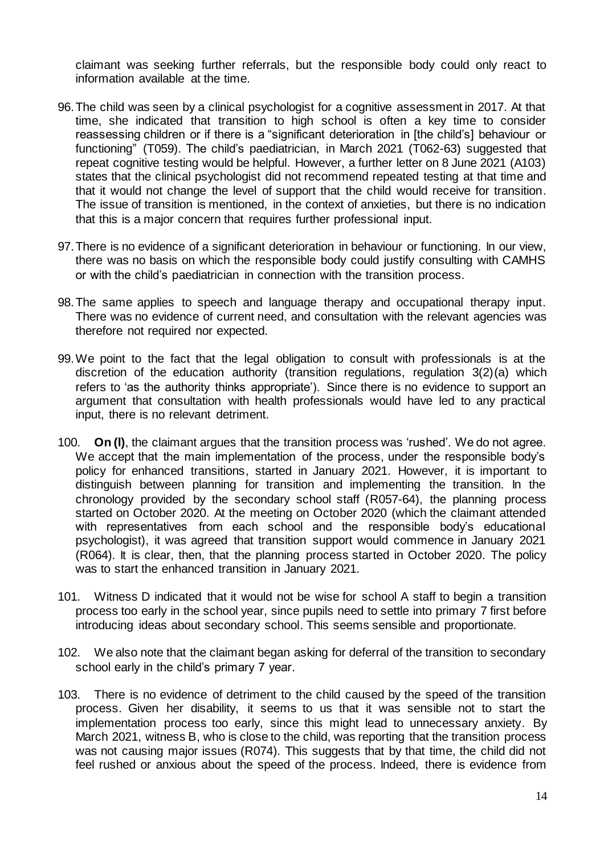claimant was seeking further referrals, but the responsible body could only react to information available at the time.

- 96.The child was seen by a clinical psychologist for a cognitive assessment in 2017. At that time, she indicated that transition to high school is often a key time to consider reassessing children or if there is a "significant deterioration in [the child's] behaviour or functioning" (T059). The child's paediatrician, in March 2021 (T062-63) suggested that repeat cognitive testing would be helpful. However, a further letter on 8 June 2021 (A103) states that the clinical psychologist did not recommend repeated testing at that time and that it would not change the level of support that the child would receive for transition. The issue of transition is mentioned, in the context of anxieties, but there is no indication that this is a major concern that requires further professional input.
- 97.There is no evidence of a significant deterioration in behaviour or functioning. In our view, there was no basis on which the responsible body could justify consulting with CAMHS or with the child's paediatrician in connection with the transition process.
- 98.The same applies to speech and language therapy and occupational therapy input. There was no evidence of current need, and consultation with the relevant agencies was therefore not required nor expected.
- 99.We point to the fact that the legal obligation to consult with professionals is at the discretion of the education authority (transition regulations, regulation 3(2)(a) which refers to 'as the authority thinks appropriate'). Since there is no evidence to support an argument that consultation with health professionals would have led to any practical input, there is no relevant detriment.
- 100. **On (l)**, the claimant argues that the transition process was 'rushed'. We do not agree. We accept that the main implementation of the process, under the responsible body's policy for enhanced transitions, started in January 2021. However, it is important to distinguish between planning for transition and implementing the transition. In the chronology provided by the secondary school staff (R057-64), the planning process started on October 2020. At the meeting on October 2020 (which the claimant attended with representatives from each school and the responsible body's educational psychologist), it was agreed that transition support would commence in January 2021 (R064). It is clear, then, that the planning process started in October 2020. The policy was to start the enhanced transition in January 2021.
- 101. Witness D indicated that it would not be wise for school A staff to begin a transition process too early in the school year, since pupils need to settle into primary 7 first before introducing ideas about secondary school. This seems sensible and proportionate.
- 102. We also note that the claimant began asking for deferral of the transition to secondary school early in the child's primary 7 year.
- 103. There is no evidence of detriment to the child caused by the speed of the transition process. Given her disability, it seems to us that it was sensible not to start the implementation process too early, since this might lead to unnecessary anxiety. By March 2021, witness B, who is close to the child, was reporting that the transition process was not causing major issues (R074). This suggests that by that time, the child did not feel rushed or anxious about the speed of the process. Indeed, there is evidence from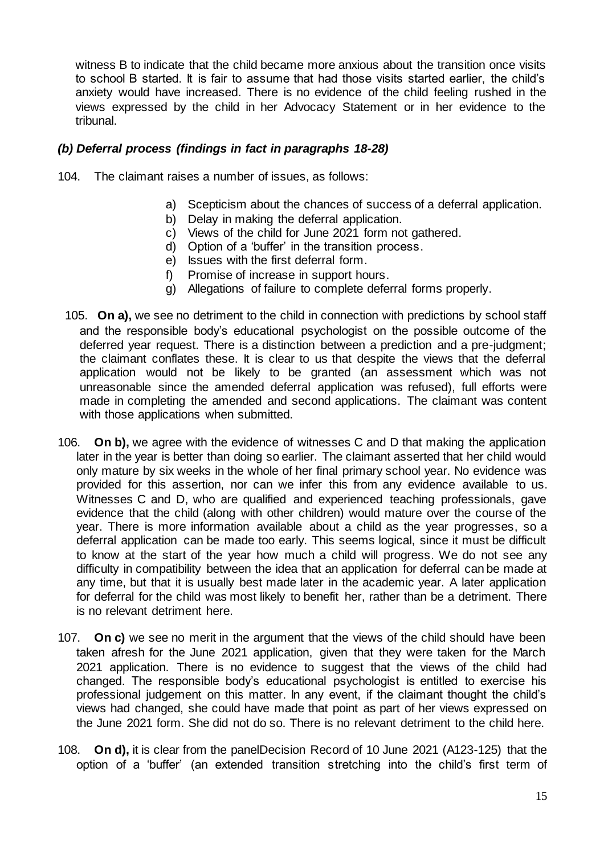witness B to indicate that the child became more anxious about the transition once visits to school B started. It is fair to assume that had those visits started earlier, the child's anxiety would have increased. There is no evidence of the child feeling rushed in the views expressed by the child in her Advocacy Statement or in her evidence to the tribunal.

#### *(b) Deferral process (findings in fact in paragraphs 18-28)*

- 104. The claimant raises a number of issues, as follows:
	- a) Scepticism about the chances of success of a deferral application.
	- b) Delay in making the deferral application.
	- c) Views of the child for June 2021 form not gathered.
	- d) Option of a 'buffer' in the transition process.
	- e) Issues with the first deferral form.
	- f) Promise of increase in support hours.
	- g) Allegations of failure to complete deferral forms properly.
- 105. **On a),** we see no detriment to the child in connection with predictions by school staff and the responsible body's educational psychologist on the possible outcome of the deferred year request. There is a distinction between a prediction and a pre-judgment; the claimant conflates these. It is clear to us that despite the views that the deferral application would not be likely to be granted (an assessment which was not unreasonable since the amended deferral application was refused), full efforts were made in completing the amended and second applications. The claimant was content with those applications when submitted.
- 106. **On b),** we agree with the evidence of witnesses C and D that making the application later in the year is better than doing so earlier. The claimant asserted that her child would only mature by six weeks in the whole of her final primary school year. No evidence was provided for this assertion, nor can we infer this from any evidence available to us. Witnesses C and D, who are qualified and experienced teaching professionals, gave evidence that the child (along with other children) would mature over the course of the year. There is more information available about a child as the year progresses, so a deferral application can be made too early. This seems logical, since it must be difficult to know at the start of the year how much a child will progress. We do not see any difficulty in compatibility between the idea that an application for deferral can be made at any time, but that it is usually best made later in the academic year. A later application for deferral for the child was most likely to benefit her, rather than be a detriment. There is no relevant detriment here.
- 107. **On c)** we see no merit in the argument that the views of the child should have been taken afresh for the June 2021 application, given that they were taken for the March 2021 application. There is no evidence to suggest that the views of the child had changed. The responsible body's educational psychologist is entitled to exercise his professional judgement on this matter. In any event, if the claimant thought the child's views had changed, she could have made that point as part of her views expressed on the June 2021 form. She did not do so. There is no relevant detriment to the child here.
- 108. **On d),** it is clear from the panelDecision Record of 10 June 2021 (A123-125) that the option of a 'buffer' (an extended transition stretching into the child's first term of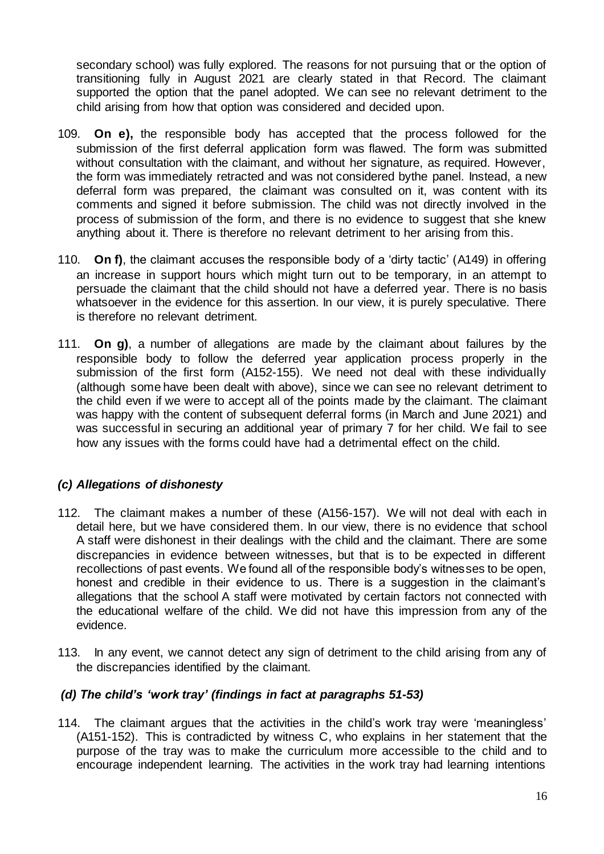secondary school) was fully explored. The reasons for not pursuing that or the option of transitioning fully in August 2021 are clearly stated in that Record. The claimant supported the option that the panel adopted. We can see no relevant detriment to the child arising from how that option was considered and decided upon.

- 109. **On e),** the responsible body has accepted that the process followed for the submission of the first deferral application form was flawed. The form was submitted without consultation with the claimant, and without her signature, as required. However, the form was immediately retracted and was not considered bythe panel. Instead, a new deferral form was prepared, the claimant was consulted on it, was content with its comments and signed it before submission. The child was not directly involved in the process of submission of the form, and there is no evidence to suggest that she knew anything about it. There is therefore no relevant detriment to her arising from this.
- 110. **On f)**, the claimant accuses the responsible body of a 'dirty tactic' (A149) in offering an increase in support hours which might turn out to be temporary, in an attempt to persuade the claimant that the child should not have a deferred year. There is no basis whatsoever in the evidence for this assertion. In our view, it is purely speculative. There is therefore no relevant detriment.
- 111. **On g)**, a number of allegations are made by the claimant about failures by the responsible body to follow the deferred year application process properly in the submission of the first form (A152-155). We need not deal with these individually (although some have been dealt with above), since we can see no relevant detriment to the child even if we were to accept all of the points made by the claimant. The claimant was happy with the content of subsequent deferral forms (in March and June 2021) and was successful in securing an additional year of primary 7 for her child. We fail to see how any issues with the forms could have had a detrimental effect on the child.

### *(c) Allegations of dishonesty*

- 112. The claimant makes a number of these (A156-157). We will not deal with each in detail here, but we have considered them. In our view, there is no evidence that school A staff were dishonest in their dealings with the child and the claimant. There are some discrepancies in evidence between witnesses, but that is to be expected in different recollections of past events. We found all of the responsible body's witnesses to be open, honest and credible in their evidence to us. There is a suggestion in the claimant's allegations that the school A staff were motivated by certain factors not connected with the educational welfare of the child. We did not have this impression from any of the evidence.
- 113. In any event, we cannot detect any sign of detriment to the child arising from any of the discrepancies identified by the claimant.

### *(d) The child's 'work tray' (findings in fact at paragraphs 51-53)*

114. The claimant argues that the activities in the child's work tray were 'meaningless' (A151-152). This is contradicted by witness C, who explains in her statement that the purpose of the tray was to make the curriculum more accessible to the child and to encourage independent learning. The activities in the work tray had learning intentions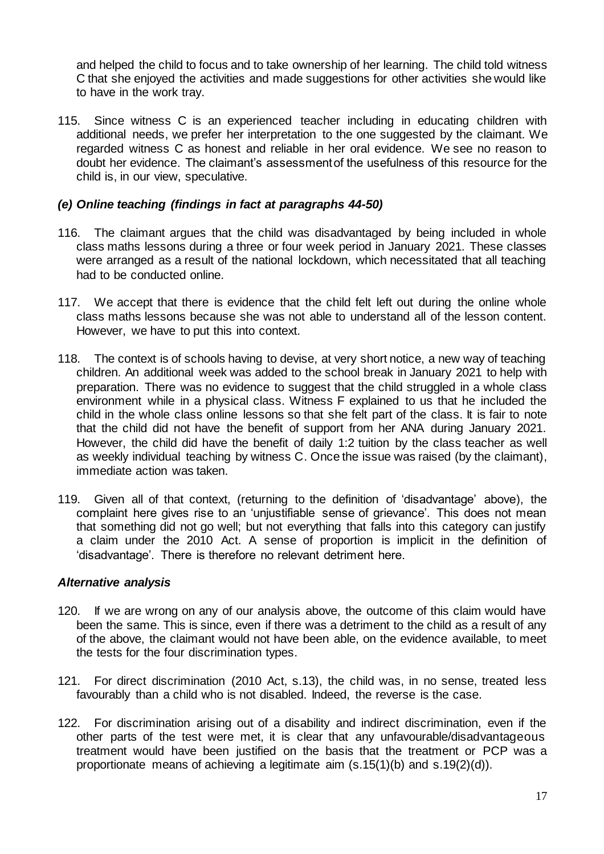and helped the child to focus and to take ownership of her learning. The child told witness C that she enjoyed the activities and made suggestions for other activities she would like to have in the work tray.

115. Since witness C is an experienced teacher including in educating children with additional needs, we prefer her interpretation to the one suggested by the claimant. We regarded witness C as honest and reliable in her oral evidence. We see no reason to doubt her evidence. The claimant's assessment of the usefulness of this resource for the child is, in our view, speculative.

#### *(e) Online teaching (findings in fact at paragraphs 44-50)*

- 116. The claimant argues that the child was disadvantaged by being included in whole class maths lessons during a three or four week period in January 2021. These classes were arranged as a result of the national lockdown, which necessitated that all teaching had to be conducted online.
- 117. We accept that there is evidence that the child felt left out during the online whole class maths lessons because she was not able to understand all of the lesson content. However, we have to put this into context.
- 118. The context is of schools having to devise, at very short notice, a new way of teaching children. An additional week was added to the school break in January 2021 to help with preparation. There was no evidence to suggest that the child struggled in a whole class environment while in a physical class. Witness F explained to us that he included the child in the whole class online lessons so that she felt part of the class. It is fair to note that the child did not have the benefit of support from her ANA during January 2021. However, the child did have the benefit of daily 1:2 tuition by the class teacher as well as weekly individual teaching by witness C. Once the issue was raised (by the claimant), immediate action was taken.
- 119. Given all of that context, (returning to the definition of 'disadvantage' above), the complaint here gives rise to an 'unjustifiable sense of grievance'. This does not mean that something did not go well; but not everything that falls into this category can justify a claim under the 2010 Act. A sense of proportion is implicit in the definition of 'disadvantage'. There is therefore no relevant detriment here.

#### *Alternative analysis*

- 120. If we are wrong on any of our analysis above, the outcome of this claim would have been the same. This is since, even if there was a detriment to the child as a result of any of the above, the claimant would not have been able, on the evidence available, to meet the tests for the four discrimination types.
- 121. For direct discrimination (2010 Act, s.13), the child was, in no sense, treated less favourably than a child who is not disabled. Indeed, the reverse is the case.
- 122. For discrimination arising out of a disability and indirect discrimination, even if the other parts of the test were met, it is clear that any unfavourable/disadvantageous treatment would have been justified on the basis that the treatment or PCP was a proportionate means of achieving a legitimate aim (s.15(1)(b) and s.19(2)(d)).